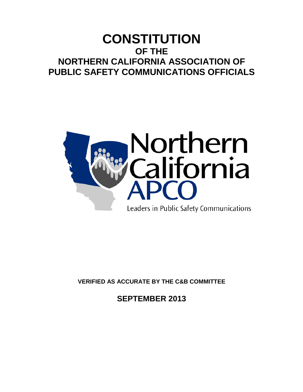# **CONSTITUTION OF THE NORTHERN CALIFORNIA ASSOCIATION OF PUBLIC SAFETY COMMUNICATIONS OFFICIALS**



**VERIFIED AS ACCURATE BY THE C&B COMMITTEE**

**SEPTEMBER 2013**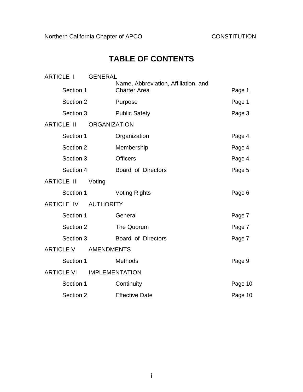# **TABLE OF CONTENTS**

| <b>ARTICLE I</b>                      | <b>GENERAL</b>      |                                                             |         |
|---------------------------------------|---------------------|-------------------------------------------------------------|---------|
| Section 1                             |                     | Name, Abbreviation, Affiliation, and<br><b>Charter Area</b> | Page 1  |
| Section 2                             |                     | Purpose                                                     | Page 1  |
| Section 3                             |                     | <b>Public Safety</b>                                        | Page 3  |
| <b>ARTICLE II</b>                     | <b>ORGANIZATION</b> |                                                             |         |
| Section 1                             |                     | Organization                                                | Page 4  |
| Section 2                             |                     | Membership                                                  | Page 4  |
| Section 3                             |                     | <b>Officers</b>                                             | Page 4  |
| Section 4                             |                     | Board of Directors                                          | Page 5  |
| <b>ARTICLE III</b>                    | Voting              |                                                             |         |
| Section 1                             |                     | <b>Voting Rights</b>                                        | Page 6  |
| <b>ARTICLE IV</b><br><b>AUTHORITY</b> |                     |                                                             |         |
| Section 1                             |                     | General                                                     | Page 7  |
| Section 2                             |                     | The Quorum                                                  | Page 7  |
| Section 3                             |                     | Board of Directors                                          | Page 7  |
| <b>ARTICLE V</b>                      | <b>AMENDMENTS</b>   |                                                             |         |
| Section 1                             |                     | Methods                                                     | Page 9  |
| <b>ARTICLE VI</b>                     |                     | <b>IMPLEMENTATION</b>                                       |         |
| Section 1                             |                     | Continuity                                                  | Page 10 |
| Section 2                             |                     | <b>Effective Date</b>                                       | Page 10 |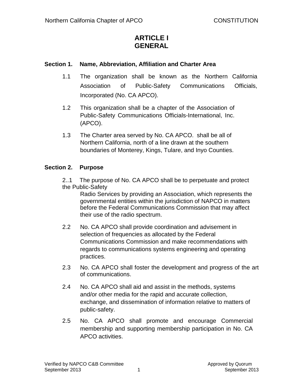# **ARTICLE I GENERAL**

## **Section 1. Name, Abbreviation, Affiliation and Charter Area**

- 1.1 The organization shall be known as the Northern California Association of Public-Safety Communications Officials, Incorporated (No. CA APCO).
- 1.2 This organization shall be a chapter of the Association of Public-Safety Communications Officials-International, Inc. (APCO).
- 1.3 The Charter area served by No. CA APCO. shall be all of Northern California, north of a line drawn at the southern boundaries of Monterey, Kings, Tulare, and Inyo Counties.

## **Section 2. Purpose**

2..1 The purpose of No. CA APCO shall be to perpetuate and protect the Public-Safety

Radio Services by providing an Association, which represents the governmental entities within the jurisdiction of NAPCO in matters before the Federal Communications Commission that may affect their use of the radio spectrum.

- 2.2 No. CA APCO shall provide coordination and advisement in selection of frequencies as allocated by the Federal Communications Commission and make recommendations with regards to communications systems engineering and operating practices.
- 2.3 No. CA APCO shall foster the development and progress of the art of communications.
- 2.4 No. CA APCO shall aid and assist in the methods, systems and/or other media for the rapid and accurate collection, exchange, and dissemination of information relative to matters of public-safety.
- 2.5 No. CA APCO shall promote and encourage Commercial membership and supporting membership participation in No. CA APCO activities.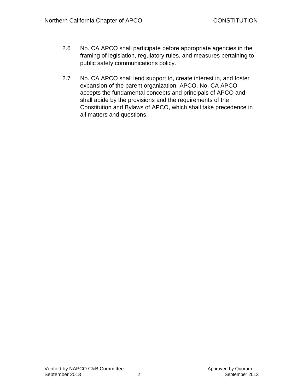- 2.6 No. CA APCO shall participate before appropriate agencies in the framing of legislation, regulatory rules, and measures pertaining to public safety communications policy.
- 2.7 No. CA APCO shall lend support to, create interest in, and foster expansion of the parent organization, APCO. No. CA APCO accepts the fundamental concepts and principals of APCO and shall abide by the provisions and the requirements of the Constitution and Bylaws of APCO, which shall take precedence in all matters and questions.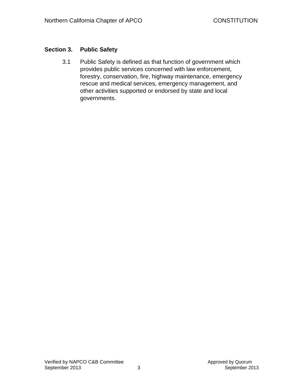## **Section 3. Public Safety**

3.1 Public Safety is defined as that function of government which provides public services concerned with law enforcement, forestry, conservation, fire, highway maintenance, emergency rescue and medical services, emergency management, and other activities supported or endorsed by state and local governments.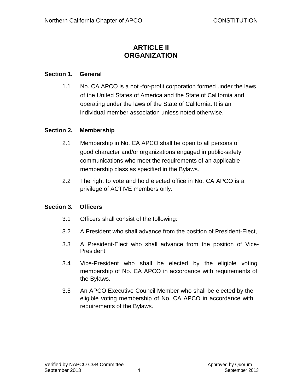# **ARTICLE II ORGANIZATION**

## **Section 1. General**

1.1 No. CA APCO is a not -for-profit corporation formed under the laws of the United States of America and the State of California and operating under the laws of the State of California. It is an individual member association unless noted otherwise.

## **Section 2. Membership**

- 2.1 Membership in No. CA APCO shall be open to all persons of good character and/or organizations engaged in public-safety communications who meet the requirements of an applicable membership class as specified in the Bylaws.
- 2.2 The right to vote and hold elected office in No. CA APCO is a privilege of ACTIVE members only.

#### **Section 3. Officers**

- 3.1 Officers shall consist of the following:
- 3.2 A President who shall advance from the position of President-Elect,
- 3.3 A President-Elect who shall advance from the position of Vice-President.
- 3.4 Vice-President who shall be elected by the eligible voting membership of No. CA APCO in accordance with requirements of the Bylaws.
- 3.5 An APCO Executive Council Member who shall be elected by the eligible voting membership of No. CA APCO in accordance with requirements of the Bylaws.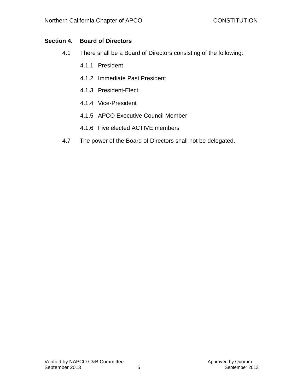## **Section 4. Board of Directors**

- 4.1 There shall be a Board of Directors consisting of the following:
	- 4.1.1 President
	- 4.1.2 Immediate Past President
	- 4.1.3 President-Elect
	- 4.1.4 Vice-President
	- 4.1.5 APCO Executive Council Member
	- 4.1.6 Five elected ACTIVE members
- 4.7 The power of the Board of Directors shall not be delegated.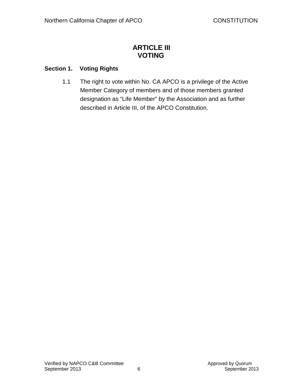## **ARTICLE III VOTING**

## **Section 1. Voting Rights**

1.1 The right to vote within No. CA APCO is a privilege of the Active Member Category of members and of those members granted designation as "Life Member" by the Association and as further described in Article III, of the APCO Constitution.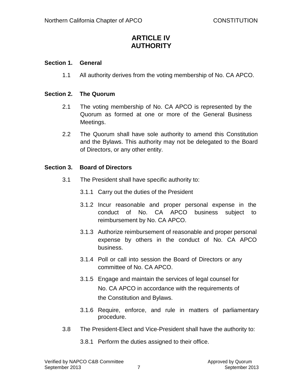# **ARTICLE IV AUTHORITY**

## **Section 1. General**

1.1 All authority derives from the voting membership of No. CA APCO.

## **Section 2. The Quorum**

- 2.1 The voting membership of No. CA APCO is represented by the Quorum as formed at one or more of the General Business Meetings.
- 2.2 The Quorum shall have sole authority to amend this Constitution and the Bylaws. This authority may not be delegated to the Board of Directors, or any other entity.

## **Section 3. Board of Directors**

- 3.1 The President shall have specific authority to:
	- 3.1.1 Carry out the duties of the President
	- 3.1.2 Incur reasonable and proper personal expense in the conduct of No. CA APCO business subject to reimbursement by No. CA APCO.
	- 3.1.3 Authorize reimbursement of reasonable and proper personal expense by others in the conduct of No. CA APCO business.
	- 3.1.4 Poll or call into session the Board of Directors or any committee of No. CA APCO.
	- 3.1.5 Engage and maintain the services of legal counsel for No. CA APCO in accordance with the requirements of the Constitution and Bylaws.
	- 3.1.6 Require, enforce, and rule in matters of parliamentary procedure.
- 3.8 The President-Elect and Vice-President shall have the authority to:
	- 3.8.1 Perform the duties assigned to their office.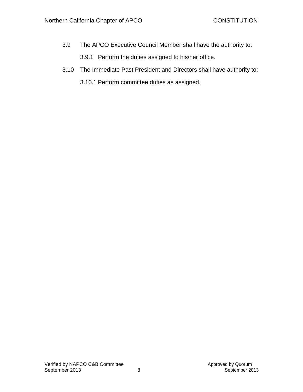- 3.9 The APCO Executive Council Member shall have the authority to:
	- 3.9.1 Perform the duties assigned to his/her office.
- 3.10 The Immediate Past President and Directors shall have authority to:
	- 3.10.1 Perform committee duties as assigned.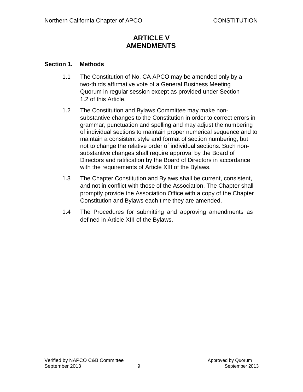# **ARTICLE V AMENDMENTS**

## **Section 1. Methods**

- 1.1 The Constitution of No. CA APCO may be amended only by a two-thirds affirmative vote of a General Business Meeting Quorum in regular session except as provided under Section 1.2 of this Article.
- 1.2 The Constitution and Bylaws Committee may make nonsubstantive changes to the Constitution in order to correct errors in grammar, punctuation and spelling and may adjust the numbering of individual sections to maintain proper numerical sequence and to maintain a consistent style and format of section numbering, but not to change the relative order of individual sections. Such nonsubstantive changes shall require approval by the Board of Directors and ratification by the Board of Directors in accordance with the requirements of Article XIII of the Bylaws.
- 1.3 The Chapter Constitution and Bylaws shall be current, consistent, and not in conflict with those of the Association. The Chapter shall promptly provide the Association Office with a copy of the Chapter Constitution and Bylaws each time they are amended.
- 1.4 The Procedures for submitting and approving amendments as defined in Article XIII of the Bylaws.